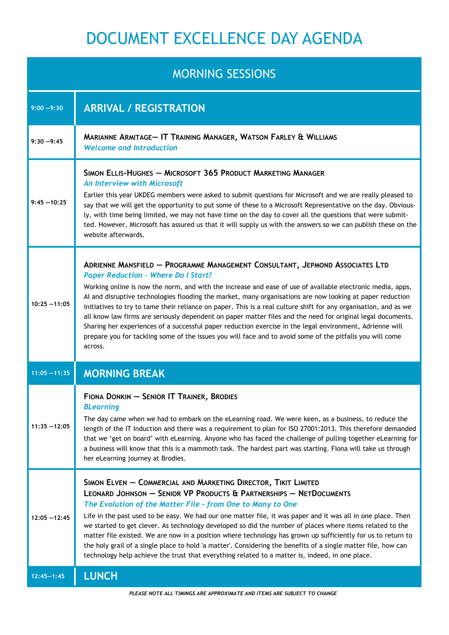## DOCUMENT EXCELLENCE DAY AGENDA

## MORNING SESSIONS

| טוטונטשט טווויוווטוו |                                                                                                                                                                                                                                                                                                                                                                                                                                                                                                                                                                                                                                                                                                                                                                                                                              |
|----------------------|------------------------------------------------------------------------------------------------------------------------------------------------------------------------------------------------------------------------------------------------------------------------------------------------------------------------------------------------------------------------------------------------------------------------------------------------------------------------------------------------------------------------------------------------------------------------------------------------------------------------------------------------------------------------------------------------------------------------------------------------------------------------------------------------------------------------------|
| $9:00 - 9:30$        | <b>ARRIVAL / REGISTRATION</b>                                                                                                                                                                                                                                                                                                                                                                                                                                                                                                                                                                                                                                                                                                                                                                                                |
| $9:30 - 9:45$        | MARIANNE ARMITAGE- IT TRAINING MANAGER, WATSON FARLEY & WILLIAMS<br><b>Welcome and Introduction</b>                                                                                                                                                                                                                                                                                                                                                                                                                                                                                                                                                                                                                                                                                                                          |
| $9:45 - 10:25$       | SIMON ELLIS-HUGHES - MICROSOFT 365 PRODUCT MARKETING MANAGER<br>An Interview with Microsoft<br>Earlier this year UKDEG members were asked to submit questions for Microsoft and we are really pleased to<br>say that we will get the opportunity to put some of these to a Microsoft Representative on the day. Obvious-<br>ly, with time being limited, we may not have time on the day to cover all the questions that were submit-<br>ted. However, Microsoft has assured us that it will supply us with the answers so we can publish these on the<br>website afterwards.                                                                                                                                                                                                                                                |
| $10:25 - 11:05$      | ADRIENNE MANSFIELD - PROGRAMME MANAGEMENT CONSULTANT, JEPMOND ASSOCIATES LTD<br><b>Paper Reduction - Where Do I Start?</b><br>Working online is now the norm, and with the increase and ease of use of available electronic media, apps,<br>Al and disruptive technologies flooding the market, many organisations are now looking at paper reduction<br>initiatives to try to tame their reliance on paper. This is a real culture shift for any organisation, and as we<br>all know law firms are seriously dependent on paper matter files and the need for original legal documents.<br>Sharing her experiences of a successful paper reduction exercise in the legal environment, Adrienne will<br>prepare you for tackling some of the issues you will face and to avoid some of the pitfalls you will come<br>across. |
| $11:05 - 11:35$      | <b>MORNING BREAK</b>                                                                                                                                                                                                                                                                                                                                                                                                                                                                                                                                                                                                                                                                                                                                                                                                         |
| $11:35 - 12:05$      | FIONA DONKIN - SENIOR IT TRAINER, BRODIES<br><b>BLearning</b><br>The day came when we had to embark on the eLearning road. We were keen, as a business, to reduce the<br>length of the IT Induction and there was a requirement to plan for ISO 27001:2013. This therefore demanded<br>that we 'get on board' with eLearning. Anyone who has faced the challenge of pulling together eLearning for<br>a business will know that this is a mammoth task. The hardest part was starting. Fiona will take us through<br>her eLearning journey at Brodies.                                                                                                                                                                                                                                                                       |
| $12:05 - 12:45$      | SIMON ELVEN - COMMERCIAL AND MARKETING DIRECTOR, TIKIT LIMITED<br>LEONARD JOHNSON - SENIOR VP PRODUCTS & PARTNERSHIPS - NETDOCUMENTS<br>The Evolution of the Matter File - from One to Many to One<br>Life in the past used to be easy. We had our one matter file, it was paper and it was all in one place. Then<br>we started to get clever. As technology developed so did the number of places where items related to the<br>matter file existed. We are now in a position where technology has grown up sufficiently for us to return to<br>the holy grail of a single place to hold 'a matter'. Considering the benefits of a single matter file, how can<br>technology help achieve the trust that everything related to a matter is, indeed, in one place.                                                          |
| $12:45 - 1:45$       | <b>LUNCH</b>                                                                                                                                                                                                                                                                                                                                                                                                                                                                                                                                                                                                                                                                                                                                                                                                                 |